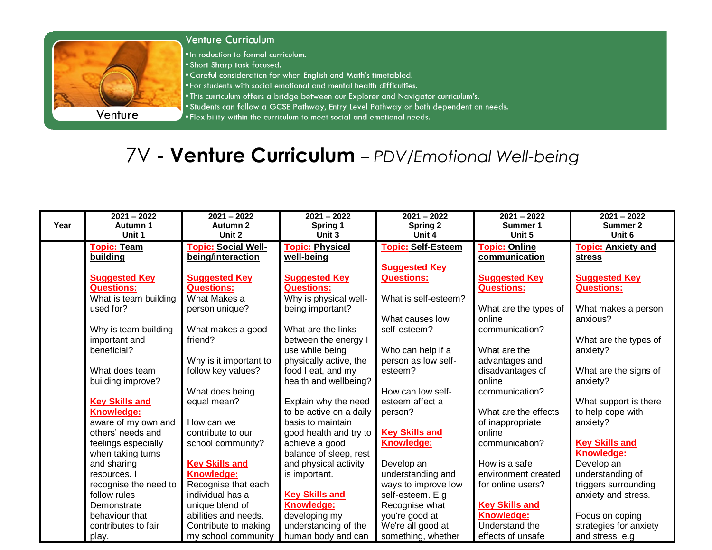

## **Venture Curriculum**

. Introduction to formal curriculum.

- . Short Sharp task focused.
- . Careful consideration for when English and Math's timetabled.
- . For students with social emotional and mental health difficulties.
- . This curriculum offers a bridge between our Explorer and Navigator curriculum's.
- . Students can follow a GCSE Pathway, Entry Level Pathway or both dependent on needs.
- . Flexibility within the curriculum to meet social and emotional needs.

## 7V - Venture Curriculum - PDV/Emotional Well-being

|      | $2021 - 2022$         | $2021 - 2022$              | $2021 - 2022$           | $2021 - 2022$             | $2021 - 2022$         | $2021 - 2022$             |
|------|-----------------------|----------------------------|-------------------------|---------------------------|-----------------------|---------------------------|
| Year | Autumn 1              | Autumn 2                   | Spring 1                | Spring 2                  | Summer 1              | Summer 2                  |
|      | Unit 1                | Unit 2                     | Unit 3                  | Unit 4                    | Unit 5                | Unit 6                    |
|      | <b>Topic: Team</b>    | <b>Topic: Social Well-</b> | <b>Topic: Physical</b>  | <b>Topic: Self-Esteem</b> | <b>Topic: Online</b>  | <b>Topic: Anxiety and</b> |
|      | building              | being/interaction          | well-being              |                           | communication         | <b>stress</b>             |
|      |                       |                            |                         | <b>Suggested Key</b>      |                       |                           |
|      | <b>Suggested Key</b>  | <b>Suggested Key</b>       | <b>Suggested Key</b>    | <b>Questions:</b>         | <b>Suggested Key</b>  | <b>Suggested Key</b>      |
|      | <b>Questions:</b>     | <b>Questions:</b>          | <b>Questions:</b>       |                           | <b>Questions:</b>     | <b>Questions:</b>         |
|      | What is team building | What Makes a               | Why is physical well-   | What is self-esteem?      |                       |                           |
|      | used for?             | person unique?             | being important?        |                           | What are the types of | What makes a person       |
|      |                       |                            |                         | What causes low           | online                | anxious?                  |
|      | Why is team building  | What makes a good          | What are the links      | self-esteem?              | communication?        |                           |
|      | important and         | friend?                    | between the energy I    |                           |                       | What are the types of     |
|      | beneficial?           |                            | use while being         | Who can help if a         | What are the          | anxiety?                  |
|      |                       | Why is it important to     | physically active, the  | person as low self-       | advantages and        |                           |
|      | What does team        | follow key values?         | food I eat, and my      | esteem?                   | disadvantages of      | What are the signs of     |
|      | building improve?     |                            | health and wellbeing?   |                           | online                | anxiety?                  |
|      |                       | What does being            |                         | How can low self-         | communication?        |                           |
|      | <b>Key Skills and</b> | equal mean?                | Explain why the need    | esteem affect a           |                       | What support is there     |
|      | Knowledge:            |                            | to be active on a daily | person?                   | What are the effects  | to help cope with         |
|      | aware of my own and   | How can we                 | basis to maintain       |                           | of inappropriate      | anxiety?                  |
|      | others' needs and     | contribute to our          | good health and try to  | <b>Key Skills and</b>     | online                |                           |
|      | feelings especially   | school community?          | achieve a good          | Knowledge:                | communication?        | <b>Key Skills and</b>     |
|      | when taking turns     |                            | balance of sleep, rest  |                           |                       | Knowledge:                |
|      | and sharing           | <b>Key Skills and</b>      | and physical activity   | Develop an                | How is a safe         | Develop an                |
|      | resources. I          | Knowledge:                 | is important.           | understanding and         | environment created   | understanding of          |
|      | recognise the need to | Recognise that each        |                         | ways to improve low       | for online users?     | triggers surrounding      |
|      | follow rules          | individual has a           | <b>Key Skills and</b>   | self-esteem. E.g          |                       | anxiety and stress.       |
|      | Demonstrate           | unique blend of            | <b>Knowledge:</b>       | Recognise what            | <b>Key Skills and</b> |                           |
|      | behaviour that        | abilities and needs.       | developing my           | you're good at            | <b>Knowledge:</b>     | Focus on coping           |
|      | contributes to fair   | Contribute to making       | understanding of the    | We're all good at         | Understand the        | strategies for anxiety    |
|      | play.                 | my school community        | human body and can      | something, whether        | effects of unsafe     | and stress. e.g           |